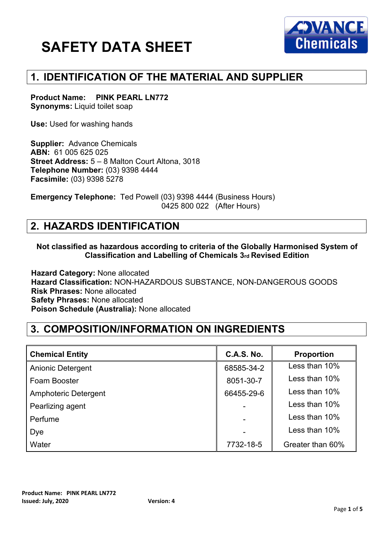

## **1. IDENTIFICATION OF THE MATERIAL AND SUPPLIER**

**Product Name: PINK PEARL LN772 Synonyms:** Liquid toilet soap

**Use:** Used for washing hands

**Supplier:** Advance Chemicals **ABN:** 61 005 625 025 **Street Address:** 5 – 8 Malton Court Altona, 3018 **Telephone Number:** (03) 9398 4444 **Facsimile:** (03) 9398 5278

**Emergency Telephone:** Ted Powell (03) 9398 4444 (Business Hours) 0425 800 022 (After Hours)

## **2. HAZARDS IDENTIFICATION**

#### **Not classified as hazardous according to criteria of the Globally Harmonised System of Classification and Labelling of Chemicals 3rd Revised Edition**

**Hazard Category:** None allocated **Hazard Classification:** NON-HAZARDOUS SUBSTANCE, NON-DANGEROUS GOODS **Risk Phrases:** None allocated **Safety Phrases:** None allocated **Poison Schedule (Australia):** None allocated

## **3. COMPOSITION/INFORMATION ON INGREDIENTS**

| <b>Chemical Entity</b>   | <b>C.A.S. No.</b> | <b>Proportion</b> |
|--------------------------|-------------------|-------------------|
| <b>Anionic Detergent</b> | 68585-34-2        | Less than 10%     |
| Foam Booster             | 8051-30-7         | Less than 10%     |
| Amphoteric Detergent     | 66455-29-6        | Less than 10%     |
| Pearlizing agent         |                   | Less than 10%     |
| Perfume                  |                   | Less than 10%     |
| Dye                      |                   | Less than 10%     |
| Water                    | 7732-18-5         | Greater than 60%  |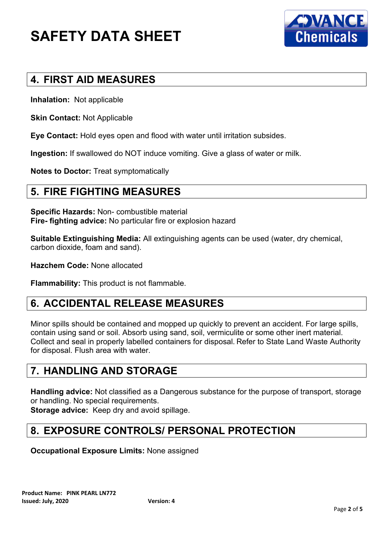

# **4. FIRST AID MEASURES**

**Inhalation:** Not applicable

**Skin Contact:** Not Applicable

**Eye Contact:** Hold eyes open and flood with water until irritation subsides.

**Ingestion:** If swallowed do NOT induce vomiting. Give a glass of water or milk.

**Notes to Doctor:** Treat symptomatically

#### **5. FIRE FIGHTING MEASURES**

**Specific Hazards:** Non- combustible material **Fire- fighting advice:** No particular fire or explosion hazard

**Suitable Extinguishing Media:** All extinguishing agents can be used (water, dry chemical, carbon dioxide, foam and sand).

**Hazchem Code:** None allocated

**Flammability:** This product is not flammable.

#### **6. ACCIDENTAL RELEASE MEASURES**

Minor spills should be contained and mopped up quickly to prevent an accident. For large spills, contain using sand or soil. Absorb using sand, soil, vermiculite or some other inert material. Collect and seal in properly labelled containers for disposal. Refer to State Land Waste Authority for disposal. Flush area with water.

## **7. HANDLING AND STORAGE**

**Handling advice:** Not classified as a Dangerous substance for the purpose of transport, storage or handling. No special requirements.

**Storage advice:** Keep dry and avoid spillage.

# **8. EXPOSURE CONTROLS/ PERSONAL PROTECTION**

**Occupational Exposure Limits:** None assigned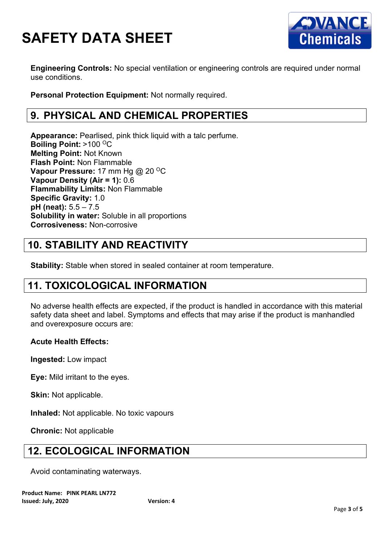

**Engineering Controls:** No special ventilation or engineering controls are required under normal use conditions.

**Personal Protection Equipment:** Not normally required.

# **9. PHYSICAL AND CHEMICAL PROPERTIES**

**Appearance:** Pearlised, pink thick liquid with a talc perfume. **Boiling Point: >100 °C Melting Point:** Not Known **Flash Point:** Non Flammable **Vapour Pressure:** 17 mm Hg @ 20 <sup>o</sup>C **Vapour Density (Air = 1):** 0.6 **Flammability Limits:** Non Flammable **Specific Gravity:** 1.0 **pH (neat):** 5.5 – 7.5 **Solubility in water:** Soluble in all proportions **Corrosiveness:** Non-corrosive

# **10. STABILITY AND REACTIVITY**

**Stability:** Stable when stored in sealed container at room temperature.

# **11. TOXICOLOGICAL INFORMATION**

No adverse health effects are expected, if the product is handled in accordance with this material safety data sheet and label. Symptoms and effects that may arise if the product is manhandled and overexposure occurs are:

#### **Acute Health Effects:**

**Ingested:** Low impact

**Eye:** Mild irritant to the eyes.

**Skin:** Not applicable.

**Inhaled:** Not applicable. No toxic vapours

**Chronic:** Not applicable

## **12. ECOLOGICAL INFORMATION**

Avoid contaminating waterways.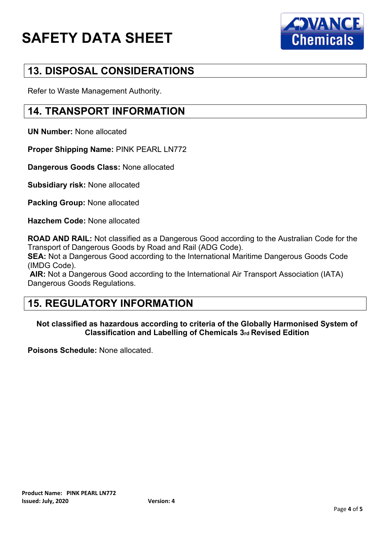

# **13. DISPOSAL CONSIDERATIONS**

Refer to Waste Management Authority.

## **14. TRANSPORT INFORMATION**

**UN Number:** None allocated

**Proper Shipping Name:** PINK PEARL LN772

**Dangerous Goods Class:** None allocated

**Subsidiary risk:** None allocated

**Packing Group:** None allocated

**Hazchem Code:** None allocated

**ROAD AND RAIL:** Not classified as a Dangerous Good according to the Australian Code for the Transport of Dangerous Goods by Road and Rail (ADG Code).

**SEA:** Not a Dangerous Good according to the International Maritime Dangerous Goods Code (IMDG Code).

**AIR:** Not a Dangerous Good according to the International Air Transport Association (IATA) Dangerous Goods Regulations.

## **15. REGULATORY INFORMATION**

#### **Not classified as hazardous according to criteria of the Globally Harmonised System of Classification and Labelling of Chemicals 3rd Revised Edition**

**Poisons Schedule:** None allocated.